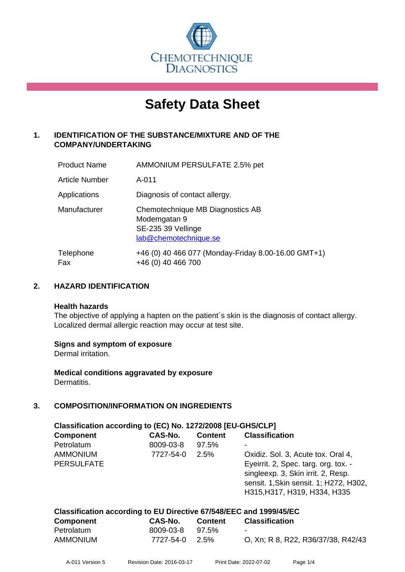

# **Safety Data Sheet**

## **1. IDENTIFICATION OF THE SUBSTANCE/MIXTURE AND OF THE COMPANY/UNDERTAKING**

| <b>Product Name</b>   | AMMONIUM PERSULFATE 2.5% pet                                                                    |
|-----------------------|-------------------------------------------------------------------------------------------------|
| <b>Article Number</b> | A-011                                                                                           |
| Applications          | Diagnosis of contact allergy.                                                                   |
| Manufacturer          | Chemotechnique MB Diagnostics AB<br>Modemgatan 9<br>SE-235 39 Vellinge<br>lab@chemotechnique.se |
| Telephone<br>Fax      | +46 (0) 40 466 077 (Monday-Friday 8.00-16.00 GMT+1)<br>+46 (0) 40 466 700                       |

## **2. HAZARD IDENTIFICATION**

#### **Health hazards**

The objective of applying a hapten on the patient's skin is the diagnosis of contact allergy. Localized dermal allergic reaction may occur at test site.

## **Signs and symptom of exposure**

Dermal irritation.

**Medical conditions aggravated by exposure** Dermatitis.

## **3. COMPOSITION/INFORMATION ON INGREDIENTS**

| Classification according to (EC) No. 1272/2008 [EU-GHS/CLP] |           |                |                                        |  |
|-------------------------------------------------------------|-----------|----------------|----------------------------------------|--|
| <b>Component</b>                                            | CAS-No.   | <b>Content</b> | <b>Classification</b>                  |  |
| Petrolatum                                                  | 8009-03-8 | 97.5%          |                                        |  |
| <b>AMMONIUM</b>                                             | 7727-54-0 | 2.5%           | Oxidiz. Sol. 3, Acute tox. Oral 4,     |  |
| <b>PERSULFATE</b>                                           |           |                | Eyeirrit. 2, Spec. targ. org. tox. -   |  |
|                                                             |           |                | singleexp. 3, Skin irrit. 2, Resp.     |  |
|                                                             |           |                | sensit. 1, Skin sensit. 1; H272, H302, |  |
|                                                             |           |                | H315, H317, H319, H334, H335           |  |
|                                                             |           |                |                                        |  |

| Classification according to EU Directive 67/548/EEC and 1999/45/EC |                 |         |                                    |  |  |
|--------------------------------------------------------------------|-----------------|---------|------------------------------------|--|--|
| <b>Component</b>                                                   | CAS-No.         | Content | Classification                     |  |  |
| Petrolatum                                                         | 8009-03-8 97.5% |         | $\sim$                             |  |  |
| <b>AMMONIUM</b>                                                    | 7727-54-0 2.5%  |         | O, Xn; R 8, R22, R36/37/38, R42/43 |  |  |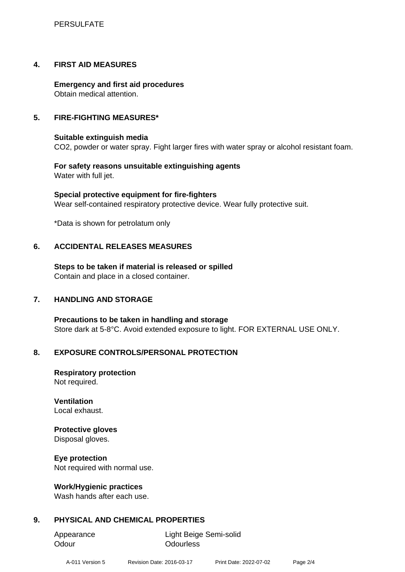## **4. FIRST AID MEASURES**

**Emergency and first aid procedures** Obtain medical attention.

## **5. FIRE-FIGHTING MEASURES\***

## **Suitable extinguish media**

CO2, powder or water spray. Fight larger fires with water spray or alcohol resistant foam.

**For safety reasons unsuitable extinguishing agents** Water with full jet.

**Special protective equipment for fire-fighters** Wear self-contained respiratory protective device. Wear fully protective suit.

\*Data is shown for petrolatum only

## **6. ACCIDENTAL RELEASES MEASURES**

**Steps to be taken if material is released or spilled** Contain and place in a closed container.

## **7. HANDLING AND STORAGE**

**Precautions to be taken in handling and storage** Store dark at 5-8°C. Avoid extended exposure to light. FOR EXTERNAL USE ONLY.

## **8. EXPOSURE CONTROLS/PERSONAL PROTECTION**

**Respiratory protection** Not required.

**Ventilation** Local exhaust.

## **Protective gloves**

Disposal gloves.

**Eye protection**

Not required with normal use.

## **Work/Hygienic practices**

Wash hands after each use.

## **9. PHYSICAL AND CHEMICAL PROPERTIES**

Odour **Odourless** 

Appearance Light Beige Semi-solid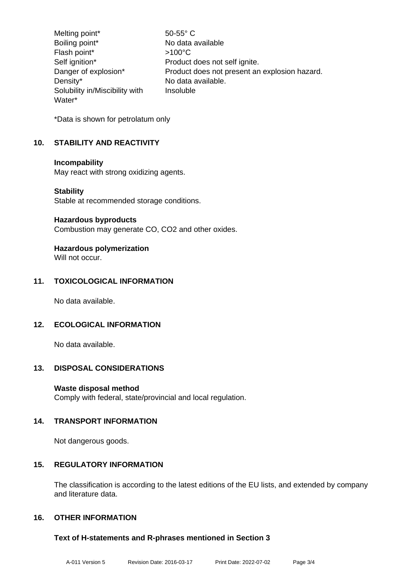Melting point\* 50-55° C Boiling point\* No data available Flash point\*  $>100^{\circ}$ C Self ignition\* Product does not self ignite. Danger of explosion\* Product does not present an explosion hazard. Density\* No data available. Solubility in/Miscibility with Water\* Insoluble

\*Data is shown for petrolatum only

## **10. STABILITY AND REACTIVITY**

#### **Incompability**

May react with strong oxidizing agents.

#### **Stability**

Stable at recommended storage conditions.

#### **Hazardous byproducts**

Combustion may generate CO, CO2 and other oxides.

## **Hazardous polymerization**

Will not occur.

## **11. TOXICOLOGICAL INFORMATION**

No data available.

## **12. ECOLOGICAL INFORMATION**

No data available.

## **13. DISPOSAL CONSIDERATIONS**

## **Waste disposal method**

Comply with federal, state/provincial and local regulation.

## **14. TRANSPORT INFORMATION**

Not dangerous goods.

## **15. REGULATORY INFORMATION**

The classification is according to the latest editions of the EU lists, and extended by company and literature data.

## **16. OTHER INFORMATION**

## **Text of H-statements and R-phrases mentioned in Section 3**